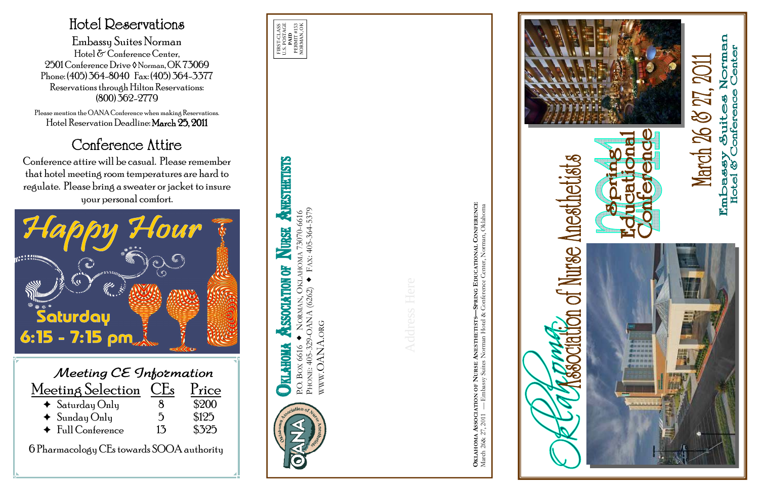P.O. BOX 6616 NORMAN, OKLAHOMA 73070-6616



Address Here

**OKLAHOMA ASSOCIATION OF NURSE ANESTHETISTS—SPRING EDUCATIONAL CONFERENCE**











Norman<br>• Center March 26 & 27, 2011 y Suites 1<br>Conference mbassy<br>Hotel & C  $E$ ml



## Hotel Reservations

Embassy Suites Norman Hotel & Conference Center, 2501 Conference Drive ◊ Norman, OK 73069 Phone: (405) 364-8040 Fax: (405) 364-3377 Reservations through Hilton Reservations: (800) 362-2779

Please mention the OANA Conference when making Reservations. Hotel Reservation Deadline: March 25, 2011

## Conference Attire

Conference attire will be casual. Please remember that hotel meeting room temperatures are hard to regulate. Please bring a sweater or jacket to insure your personal comfort.